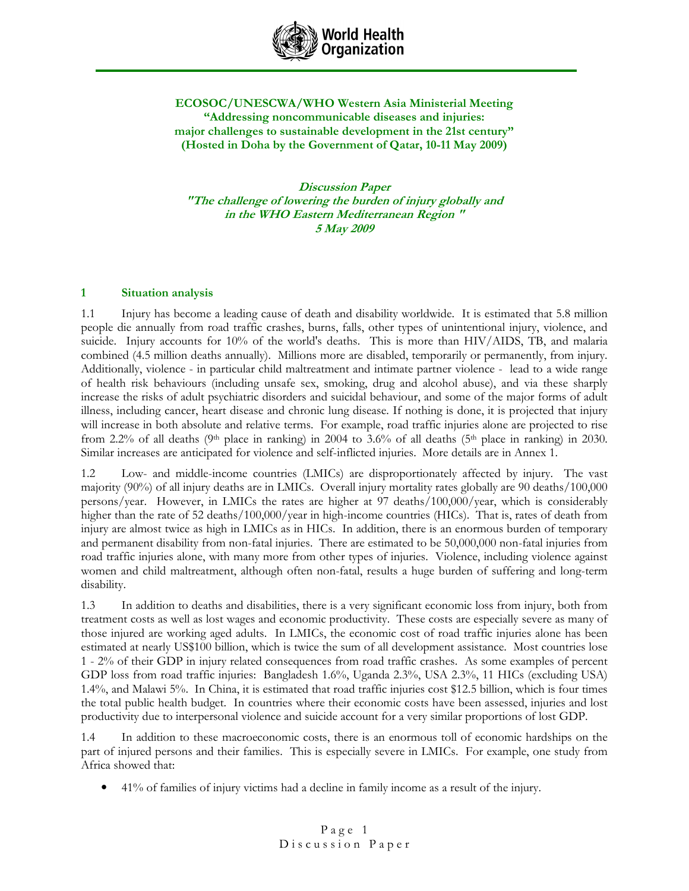

### ECOSOC/UNESCWA/WHO Western Asia Ministerial Meeting "Addressing noncommunicable diseases and injuries: major challenges to sustainable development in the 21st century" (Hosted in Doha by the Government of Qatar, 10-11 May 2009)

Discussion Paper "The challenge of lowering the burden of injury globally and in the WHO Eastern Mediterranean Region " 5 May 2009

### 1 Situation analysis

1.1 Injury has become a leading cause of death and disability worldwide. It is estimated that 5.8 million people die annually from road traffic crashes, burns, falls, other types of unintentional injury, violence, and suicide. Injury accounts for 10% of the world's deaths. This is more than HIV/AIDS, TB, and malaria combined (4.5 million deaths annually). Millions more are disabled, temporarily or permanently, from injury. Additionally, violence - in particular child maltreatment and intimate partner violence - lead to a wide range of health risk behaviours (including unsafe sex, smoking, drug and alcohol abuse), and via these sharply increase the risks of adult psychiatric disorders and suicidal behaviour, and some of the major forms of adult illness, including cancer, heart disease and chronic lung disease. If nothing is done, it is projected that injury will increase in both absolute and relative terms. For example, road traffic injuries alone are projected to rise from 2.2% of all deaths (9<sup>th</sup> place in ranking) in 2004 to 3.6% of all deaths (5<sup>th</sup> place in ranking) in 2030. Similar increases are anticipated for violence and self-inflicted injuries. More details are in Annex 1.

1.2 Low- and middle-income countries (LMICs) are disproportionately affected by injury. The vast majority (90%) of all injury deaths are in LMICs. Overall injury mortality rates globally are 90 deaths/100,000 persons/year. However, in LMICs the rates are higher at 97 deaths/100,000/year, which is considerably higher than the rate of 52 deaths/100,000/year in high-income countries (HICs). That is, rates of death from injury are almost twice as high in LMICs as in HICs. In addition, there is an enormous burden of temporary and permanent disability from non-fatal injuries. There are estimated to be 50,000,000 non-fatal injuries from road traffic injuries alone, with many more from other types of injuries. Violence, including violence against women and child maltreatment, although often non-fatal, results a huge burden of suffering and long-term disability.

1.3 In addition to deaths and disabilities, there is a very significant economic loss from injury, both from treatment costs as well as lost wages and economic productivity. These costs are especially severe as many of those injured are working aged adults. In LMICs, the economic cost of road traffic injuries alone has been estimated at nearly US\$100 billion, which is twice the sum of all development assistance. Most countries lose 1 - 2% of their GDP in injury related consequences from road traffic crashes. As some examples of percent GDP loss from road traffic injuries: Bangladesh 1.6%, Uganda 2.3%, USA 2.3%, 11 HICs (excluding USA) 1.4%, and Malawi 5%. In China, it is estimated that road traffic injuries cost \$12.5 billion, which is four times the total public health budget. In countries where their economic costs have been assessed, injuries and lost productivity due to interpersonal violence and suicide account for a very similar proportions of lost GDP.

1.4 In addition to these macroeconomic costs, there is an enormous toll of economic hardships on the part of injured persons and their families. This is especially severe in LMICs. For example, one study from Africa showed that:

• 41% of families of injury victims had a decline in family income as a result of the injury.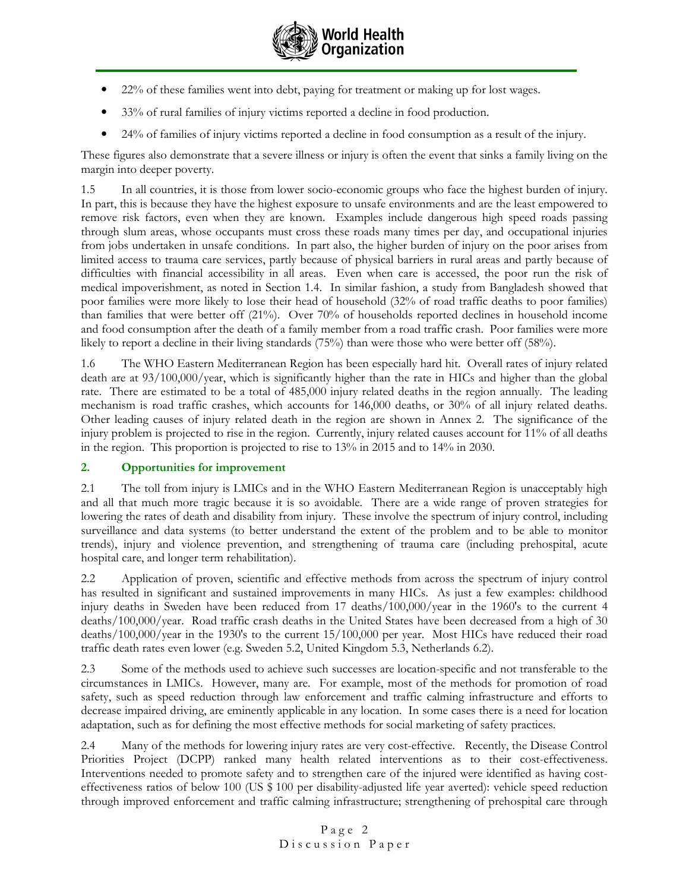

- 22% of these families went into debt, paying for treatment or making up for lost wages.
- 33% of rural families of injury victims reported a decline in food production.
- 24% of families of injury victims reported a decline in food consumption as a result of the injury.

These figures also demonstrate that a severe illness or injury is often the event that sinks a family living on the margin into deeper poverty.

1.5 In all countries, it is those from lower socio-economic groups who face the highest burden of injury. In part, this is because they have the highest exposure to unsafe environments and are the least empowered to remove risk factors, even when they are known. Examples include dangerous high speed roads passing through slum areas, whose occupants must cross these roads many times per day, and occupational injuries from jobs undertaken in unsafe conditions. In part also, the higher burden of injury on the poor arises from limited access to trauma care services, partly because of physical barriers in rural areas and partly because of difficulties with financial accessibility in all areas. Even when care is accessed, the poor run the risk of medical impoverishment, as noted in Section 1.4. In similar fashion, a study from Bangladesh showed that poor families were more likely to lose their head of household (32% of road traffic deaths to poor families) than families that were better off (21%). Over 70% of households reported declines in household income and food consumption after the death of a family member from a road traffic crash. Poor families were more likely to report a decline in their living standards (75%) than were those who were better off (58%).

1.6 The WHO Eastern Mediterranean Region has been especially hard hit. Overall rates of injury related death are at  $93/100,000/\text{year}$ , which is significantly higher than the rate in HICs and higher than the global rate. There are estimated to be a total of 485,000 injury related deaths in the region annually. The leading mechanism is road traffic crashes, which accounts for 146,000 deaths, or 30% of all injury related deaths. Other leading causes of injury related death in the region are shown in Annex 2. The significance of the injury problem is projected to rise in the region. Currently, injury related causes account for 11% of all deaths in the region. This proportion is projected to rise to 13% in 2015 and to 14% in 2030.

### 2. Opportunities for improvement

2.1 The toll from injury is LMICs and in the WHO Eastern Mediterranean Region is unacceptably high and all that much more tragic because it is so avoidable. There are a wide range of proven strategies for lowering the rates of death and disability from injury. These involve the spectrum of injury control, including surveillance and data systems (to better understand the extent of the problem and to be able to monitor trends), injury and violence prevention, and strengthening of trauma care (including prehospital, acute hospital care, and longer term rehabilitation).

2.2 Application of proven, scientific and effective methods from across the spectrum of injury control has resulted in significant and sustained improvements in many HICs. As just a few examples: childhood injury deaths in Sweden have been reduced from 17 deaths/100,000/year in the 1960's to the current 4 deaths/100,000/year. Road traffic crash deaths in the United States have been decreased from a high of 30 deaths/100,000/year in the 1930's to the current 15/100,000 per year. Most HICs have reduced their road traffic death rates even lower (e.g. Sweden 5.2, United Kingdom 5.3, Netherlands 6.2).

2.3 Some of the methods used to achieve such successes are location-specific and not transferable to the circumstances in LMICs. However, many are. For example, most of the methods for promotion of road safety, such as speed reduction through law enforcement and traffic calming infrastructure and efforts to decrease impaired driving, are eminently applicable in any location. In some cases there is a need for location adaptation, such as for defining the most effective methods for social marketing of safety practices.

2.4 Many of the methods for lowering injury rates are very cost-effective. Recently, the Disease Control Priorities Project (DCPP) ranked many health related interventions as to their cost-effectiveness. Interventions needed to promote safety and to strengthen care of the injured were identified as having costeffectiveness ratios of below 100 (US \$ 100 per disability-adjusted life year averted): vehicle speed reduction through improved enforcement and traffic calming infrastructure; strengthening of prehospital care through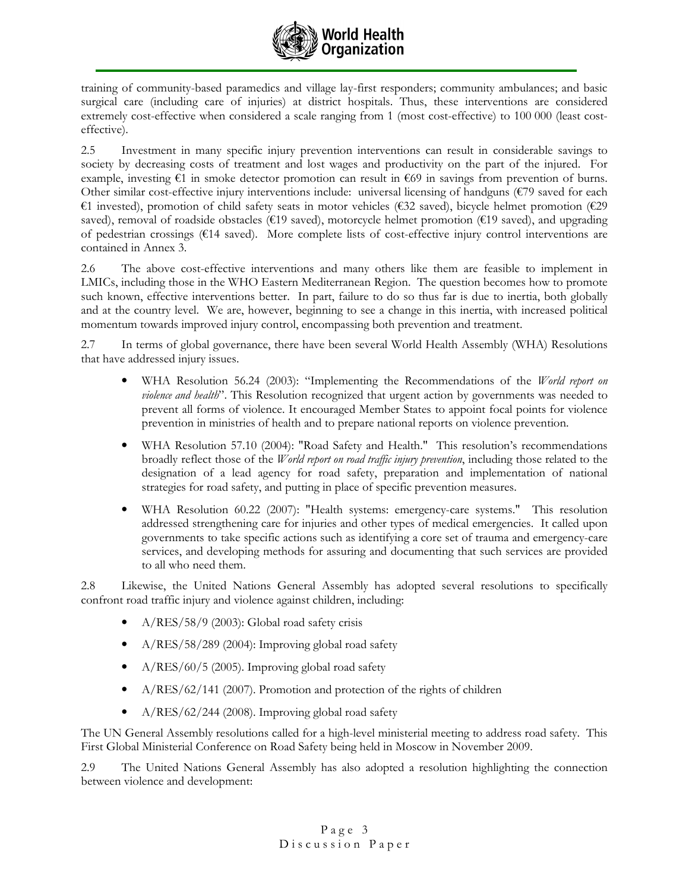

training of community-based paramedics and village lay-first responders; community ambulances; and basic surgical care (including care of injuries) at district hospitals. Thus, these interventions are considered extremely cost-effective when considered a scale ranging from 1 (most cost-effective) to 100 000 (least costeffective).

2.5 Investment in many specific injury prevention interventions can result in considerable savings to society by decreasing costs of treatment and lost wages and productivity on the part of the injured. For example, investing  $\epsilon$ 1 in smoke detector promotion can result in  $\epsilon$ 69 in savings from prevention of burns. Other similar cost-effective injury interventions include: universal licensing of handguns (€79 saved for each €1 invested), promotion of child safety seats in motor vehicles (€32 saved), bicycle helmet promotion (€29 saved), removal of roadside obstacles ( $E19$  saved), motorcycle helmet promotion ( $E19$  saved), and upgrading of pedestrian crossings (€14 saved). More complete lists of cost-effective injury control interventions are contained in Annex 3.

2.6 The above cost-effective interventions and many others like them are feasible to implement in LMICs, including those in the WHO Eastern Mediterranean Region. The question becomes how to promote such known, effective interventions better. In part, failure to do so thus far is due to inertia, both globally and at the country level. We are, however, beginning to see a change in this inertia, with increased political momentum towards improved injury control, encompassing both prevention and treatment.

2.7 In terms of global governance, there have been several World Health Assembly (WHA) Resolutions that have addressed injury issues.

- WHA Resolution 56.24 (2003): "Implementing the Recommendations of the World report on violence and health". This Resolution recognized that urgent action by governments was needed to prevent all forms of violence. It encouraged Member States to appoint focal points for violence prevention in ministries of health and to prepare national reports on violence prevention.
- WHA Resolution 57.10 (2004): "Road Safety and Health." This resolution's recommendations broadly reflect those of the *World report on road traffic injury prevention*, including those related to the designation of a lead agency for road safety, preparation and implementation of national strategies for road safety, and putting in place of specific prevention measures.
- WHA Resolution 60.22 (2007): "Health systems: emergency-care systems." This resolution addressed strengthening care for injuries and other types of medical emergencies. It called upon governments to take specific actions such as identifying a core set of trauma and emergency-care services, and developing methods for assuring and documenting that such services are provided to all who need them.

2.8 Likewise, the United Nations General Assembly has adopted several resolutions to specifically confront road traffic injury and violence against children, including:

- A/RES/58/9 (2003): Global road safety crisis
- A/RES/58/289 (2004): Improving global road safety
- A/RES/60/5 (2005). Improving global road safety
- A/RES/62/141 (2007). Promotion and protection of the rights of children
- A/RES/62/244 (2008). Improving global road safety

The UN General Assembly resolutions called for a high-level ministerial meeting to address road safety. This First Global Ministerial Conference on Road Safety being held in Moscow in November 2009.

2.9 The United Nations General Assembly has also adopted a resolution highlighting the connection between violence and development: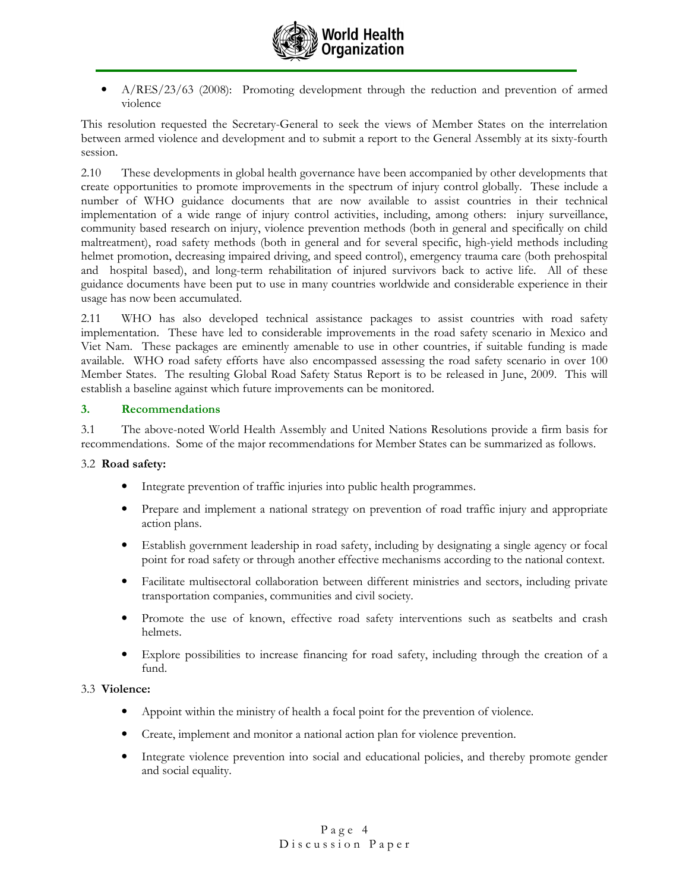

• A/RES/23/63 (2008): Promoting development through the reduction and prevention of armed violence

This resolution requested the Secretary-General to seek the views of Member States on the interrelation between armed violence and development and to submit a report to the General Assembly at its sixty-fourth session.

2.10 These developments in global health governance have been accompanied by other developments that create opportunities to promote improvements in the spectrum of injury control globally. These include a number of WHO guidance documents that are now available to assist countries in their technical implementation of a wide range of injury control activities, including, among others: injury surveillance, community based research on injury, violence prevention methods (both in general and specifically on child maltreatment), road safety methods (both in general and for several specific, high-yield methods including helmet promotion, decreasing impaired driving, and speed control), emergency trauma care (both prehospital and hospital based), and long-term rehabilitation of injured survivors back to active life. All of these guidance documents have been put to use in many countries worldwide and considerable experience in their usage has now been accumulated.

2.11 WHO has also developed technical assistance packages to assist countries with road safety implementation. These have led to considerable improvements in the road safety scenario in Mexico and Viet Nam. These packages are eminently amenable to use in other countries, if suitable funding is made available. WHO road safety efforts have also encompassed assessing the road safety scenario in over 100 Member States. The resulting Global Road Safety Status Report is to be released in June, 2009. This will establish a baseline against which future improvements can be monitored.

### 3. Recommendations

3.1 The above-noted World Health Assembly and United Nations Resolutions provide a firm basis for recommendations. Some of the major recommendations for Member States can be summarized as follows.

### 3.2 Road safety:

- Integrate prevention of traffic injuries into public health programmes.
- Prepare and implement a national strategy on prevention of road traffic injury and appropriate action plans.
- Establish government leadership in road safety, including by designating a single agency or focal point for road safety or through another effective mechanisms according to the national context.
- Facilitate multisectoral collaboration between different ministries and sectors, including private transportation companies, communities and civil society.
- Promote the use of known, effective road safety interventions such as seatbelts and crash helmets.
- Explore possibilities to increase financing for road safety, including through the creation of a fund.

#### 3.3 Violence:

- Appoint within the ministry of health a focal point for the prevention of violence.
- Create, implement and monitor a national action plan for violence prevention.
- Integrate violence prevention into social and educational policies, and thereby promote gender and social equality.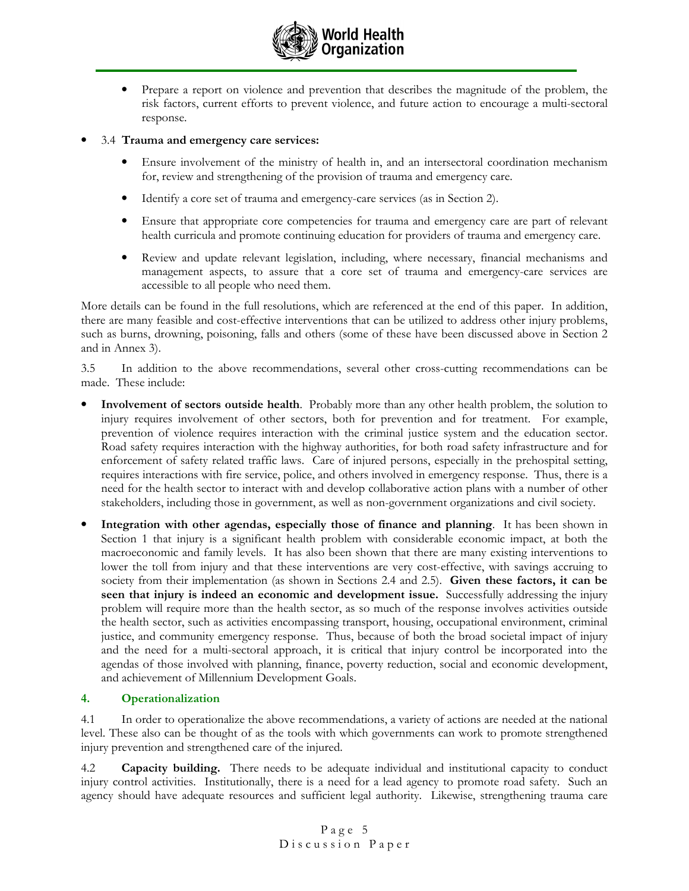

- Prepare a report on violence and prevention that describes the magnitude of the problem, the risk factors, current efforts to prevent violence, and future action to encourage a multi-sectoral response.
- 3.4 Trauma and emergency care services:
	- Ensure involvement of the ministry of health in, and an intersectoral coordination mechanism for, review and strengthening of the provision of trauma and emergency care.
	- Identify a core set of trauma and emergency-care services (as in Section 2).
	- Ensure that appropriate core competencies for trauma and emergency care are part of relevant health curricula and promote continuing education for providers of trauma and emergency care.
	- Review and update relevant legislation, including, where necessary, financial mechanisms and management aspects, to assure that a core set of trauma and emergency-care services are accessible to all people who need them.

More details can be found in the full resolutions, which are referenced at the end of this paper. In addition, there are many feasible and cost-effective interventions that can be utilized to address other injury problems, such as burns, drowning, poisoning, falls and others (some of these have been discussed above in Section 2 and in Annex 3).

3.5 In addition to the above recommendations, several other cross-cutting recommendations can be made. These include:

- Involvement of sectors outside health. Probably more than any other health problem, the solution to injury requires involvement of other sectors, both for prevention and for treatment. For example, prevention of violence requires interaction with the criminal justice system and the education sector. Road safety requires interaction with the highway authorities, for both road safety infrastructure and for enforcement of safety related traffic laws. Care of injured persons, especially in the prehospital setting, requires interactions with fire service, police, and others involved in emergency response. Thus, there is a need for the health sector to interact with and develop collaborative action plans with a number of other stakeholders, including those in government, as well as non-government organizations and civil society.
- Integration with other agendas, especially those of finance and planning. It has been shown in Section 1 that injury is a significant health problem with considerable economic impact, at both the macroeconomic and family levels. It has also been shown that there are many existing interventions to lower the toll from injury and that these interventions are very cost-effective, with savings accruing to society from their implementation (as shown in Sections 2.4 and 2.5). Given these factors, it can be seen that injury is indeed an economic and development issue. Successfully addressing the injury problem will require more than the health sector, as so much of the response involves activities outside the health sector, such as activities encompassing transport, housing, occupational environment, criminal justice, and community emergency response. Thus, because of both the broad societal impact of injury and the need for a multi-sectoral approach, it is critical that injury control be incorporated into the agendas of those involved with planning, finance, poverty reduction, social and economic development, and achievement of Millennium Development Goals.

### 4. Operationalization

4.1 In order to operationalize the above recommendations, a variety of actions are needed at the national level. These also can be thought of as the tools with which governments can work to promote strengthened injury prevention and strengthened care of the injured.

4.2 **Capacity building.** There needs to be adequate individual and institutional capacity to conduct injury control activities. Institutionally, there is a need for a lead agency to promote road safety. Such an agency should have adequate resources and sufficient legal authority. Likewise, strengthening trauma care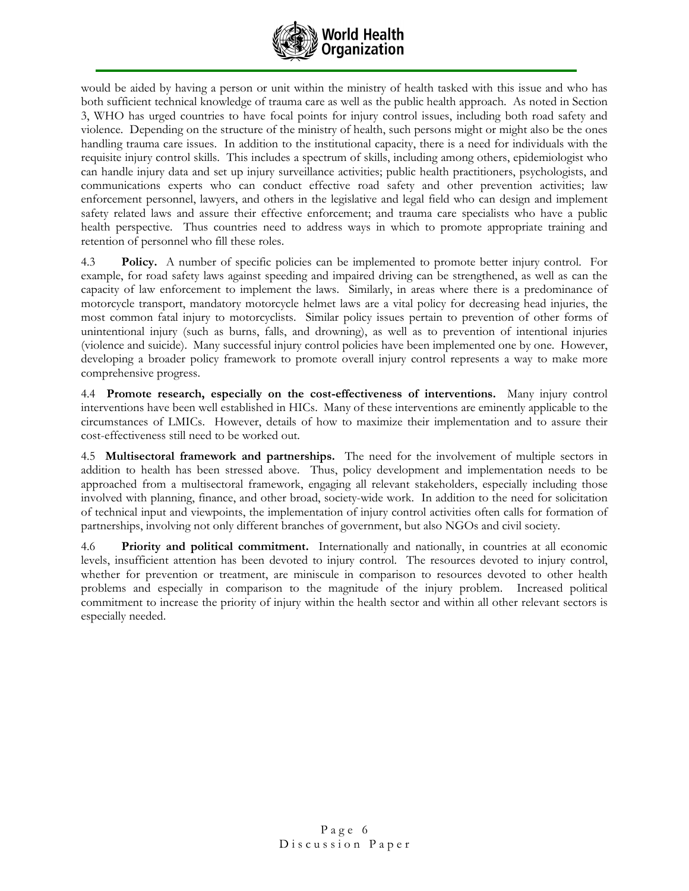

would be aided by having a person or unit within the ministry of health tasked with this issue and who has both sufficient technical knowledge of trauma care as well as the public health approach. As noted in Section 3, WHO has urged countries to have focal points for injury control issues, including both road safety and violence. Depending on the structure of the ministry of health, such persons might or might also be the ones handling trauma care issues. In addition to the institutional capacity, there is a need for individuals with the requisite injury control skills. This includes a spectrum of skills, including among others, epidemiologist who can handle injury data and set up injury surveillance activities; public health practitioners, psychologists, and communications experts who can conduct effective road safety and other prevention activities; law enforcement personnel, lawyers, and others in the legislative and legal field who can design and implement safety related laws and assure their effective enforcement; and trauma care specialists who have a public health perspective. Thus countries need to address ways in which to promote appropriate training and retention of personnel who fill these roles.

4.3 Policy. A number of specific policies can be implemented to promote better injury control. For example, for road safety laws against speeding and impaired driving can be strengthened, as well as can the capacity of law enforcement to implement the laws. Similarly, in areas where there is a predominance of motorcycle transport, mandatory motorcycle helmet laws are a vital policy for decreasing head injuries, the most common fatal injury to motorcyclists. Similar policy issues pertain to prevention of other forms of unintentional injury (such as burns, falls, and drowning), as well as to prevention of intentional injuries (violence and suicide). Many successful injury control policies have been implemented one by one. However, developing a broader policy framework to promote overall injury control represents a way to make more comprehensive progress.

4.4 Promote research, especially on the cost-effectiveness of interventions. Many injury control interventions have been well established in HICs. Many of these interventions are eminently applicable to the circumstances of LMICs. However, details of how to maximize their implementation and to assure their cost-effectiveness still need to be worked out.

4.5 Multisectoral framework and partnerships. The need for the involvement of multiple sectors in addition to health has been stressed above. Thus, policy development and implementation needs to be approached from a multisectoral framework, engaging all relevant stakeholders, especially including those involved with planning, finance, and other broad, society-wide work. In addition to the need for solicitation of technical input and viewpoints, the implementation of injury control activities often calls for formation of partnerships, involving not only different branches of government, but also NGOs and civil society.

4.6 Priority and political commitment. Internationally and nationally, in countries at all economic levels, insufficient attention has been devoted to injury control. The resources devoted to injury control, whether for prevention or treatment, are miniscule in comparison to resources devoted to other health problems and especially in comparison to the magnitude of the injury problem. Increased political commitment to increase the priority of injury within the health sector and within all other relevant sectors is especially needed.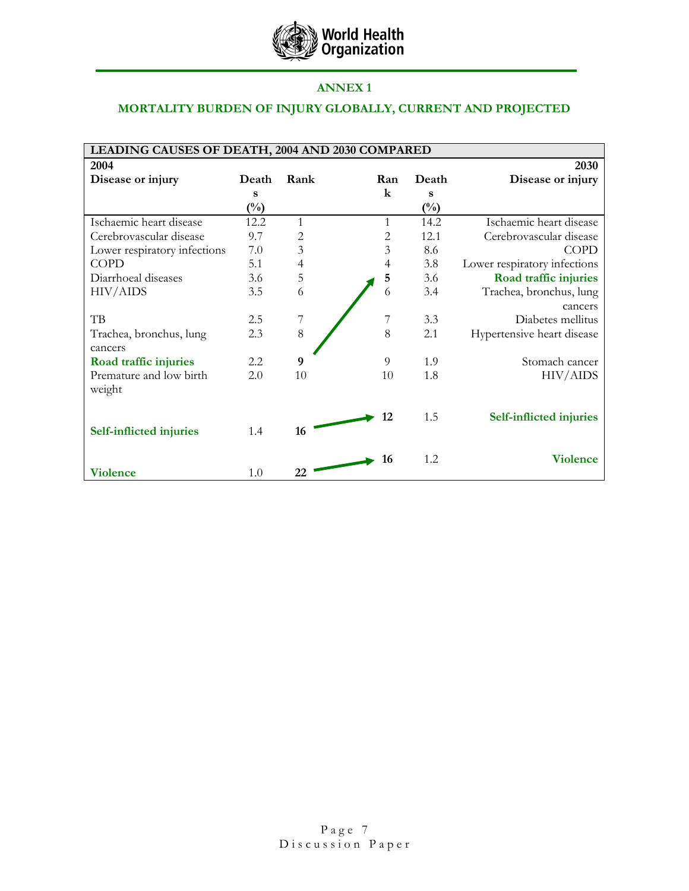

## ANNEX 1

# MORTALITY BURDEN OF INJURY GLOBALLY, CURRENT AND PROJECTED

| LEADING CAUSES OF DEATH, 2004 AND 2030 COMPARED |                |      |         |                |                                |  |
|-------------------------------------------------|----------------|------|---------|----------------|--------------------------------|--|
| 2004                                            |                |      |         |                | 2030                           |  |
| Disease or injury                               | Death          | Rank | Ran     | Death          | Disease or injury              |  |
|                                                 | s              |      | $\bf k$ | s              |                                |  |
|                                                 | $\binom{0}{0}$ |      |         | $\binom{0}{0}$ |                                |  |
| Ischaemic heart disease                         | 12.2           | 1    | 1       | 14.2           | Ischaemic heart disease        |  |
| Cerebrovascular disease                         | 9.7            | 2    | 2       | 12.1           | Cerebrovascular disease        |  |
| Lower respiratory infections                    | 7.0            | 3    | 3       | 8.6            | <b>COPD</b>                    |  |
| <b>COPD</b>                                     | 5.1            | 4    | 4       | 3.8            | Lower respiratory infections   |  |
| Diarrhoeal diseases                             | 3.6            | 5    | 5       | 3.6            | Road traffic injuries          |  |
| HIV/AIDS                                        | 3.5            | 6    | 6       | 3.4            | Trachea, bronchus, lung        |  |
|                                                 |                |      |         |                | cancers                        |  |
| TB                                              | 2.5            |      |         | 3.3            | Diabetes mellitus              |  |
| Trachea, bronchus, lung                         | 2.3            | 8    | 8       | 2.1            | Hypertensive heart disease     |  |
| cancers                                         |                |      |         |                |                                |  |
| Road traffic injuries                           | 2.2            | 9    | 9       | 1.9            | Stomach cancer                 |  |
| Premature and low birth                         | 2.0            | 10   | 10      | 1.8            | HIV/AIDS                       |  |
| weight                                          |                |      |         |                |                                |  |
|                                                 |                |      |         |                |                                |  |
|                                                 |                |      | 12      | 1.5            | <b>Self-inflicted injuries</b> |  |
| <b>Self-inflicted injuries</b>                  | 1.4            | 16   |         |                |                                |  |
|                                                 |                |      | 16      | 1.2            | <b>Violence</b>                |  |
| <b>Violence</b>                                 | 1.0            | 22   |         |                |                                |  |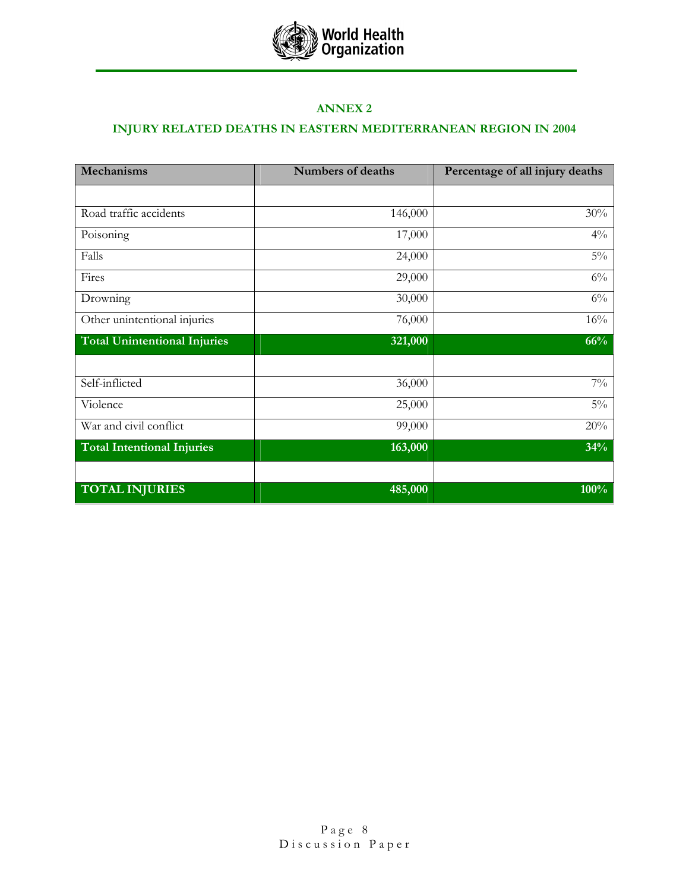

## ANNEX 2

# INJURY RELATED DEATHS IN EASTERN MEDITERRANEAN REGION IN 2004

| <b>Mechanisms</b>                   | <b>Numbers of deaths</b> | Percentage of all injury deaths |
|-------------------------------------|--------------------------|---------------------------------|
|                                     |                          |                                 |
| Road traffic accidents              | 146,000                  | 30%                             |
| Poisoning                           | 17,000                   | $4\%$                           |
| Falls                               | 24,000                   | $5\%$                           |
| Fires                               | 29,000                   | $6\%$                           |
| Drowning                            | 30,000                   | $6\%$                           |
| Other unintentional injuries        | 76,000                   | 16%                             |
| <b>Total Unintentional Injuries</b> | 321,000                  | 66%                             |
|                                     |                          |                                 |
| Self-inflicted                      | 36,000                   | $7\%$                           |
| Violence                            | 25,000                   | $5\%$                           |
| War and civil conflict              | 99,000                   | 20%                             |
| <b>Total Intentional Injuries</b>   | 163,000                  | 34%                             |
| <b>TOTAL INJURIES</b>               | 485,000                  | 100%                            |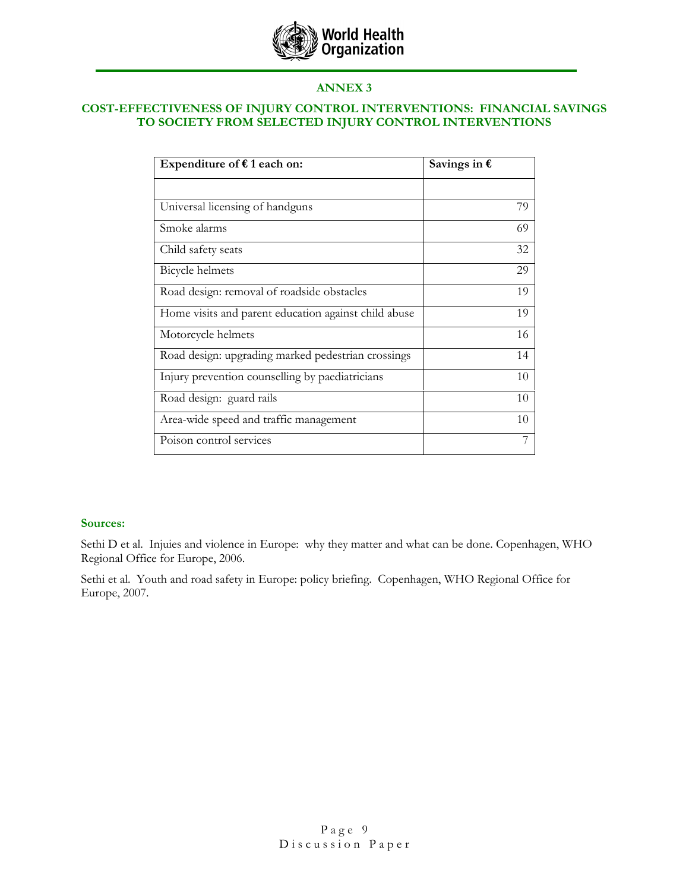

## ANNEX 3

### COST-EFFECTIVENESS OF INJURY CONTROL INTERVENTIONS: FINANCIAL SAVINGS TO SOCIETY FROM SELECTED INJURY CONTROL INTERVENTIONS

| Expenditure of $f$ 1 each on:                        | Savings in $\epsilon$ |
|------------------------------------------------------|-----------------------|
|                                                      |                       |
| Universal licensing of handguns                      | 79                    |
| Smoke alarms                                         | 69                    |
| Child safety seats                                   | 32                    |
| Bicycle helmets                                      | 29                    |
| Road design: removal of roadside obstacles           | 19                    |
| Home visits and parent education against child abuse | 19                    |
| Motorcycle helmets                                   | 16                    |
| Road design: upgrading marked pedestrian crossings   | 14                    |
| Injury prevention counselling by paediatricians      | 10                    |
| Road design: guard rails                             | 10                    |
| Area-wide speed and traffic management               | 10                    |
| Poison control services                              | 7                     |

### Sources:

Sethi D et al. Injuies and violence in Europe: why they matter and what can be done. Copenhagen, WHO Regional Office for Europe, 2006.

Sethi et al. Youth and road safety in Europe: policy briefing. Copenhagen, WHO Regional Office for Europe, 2007.